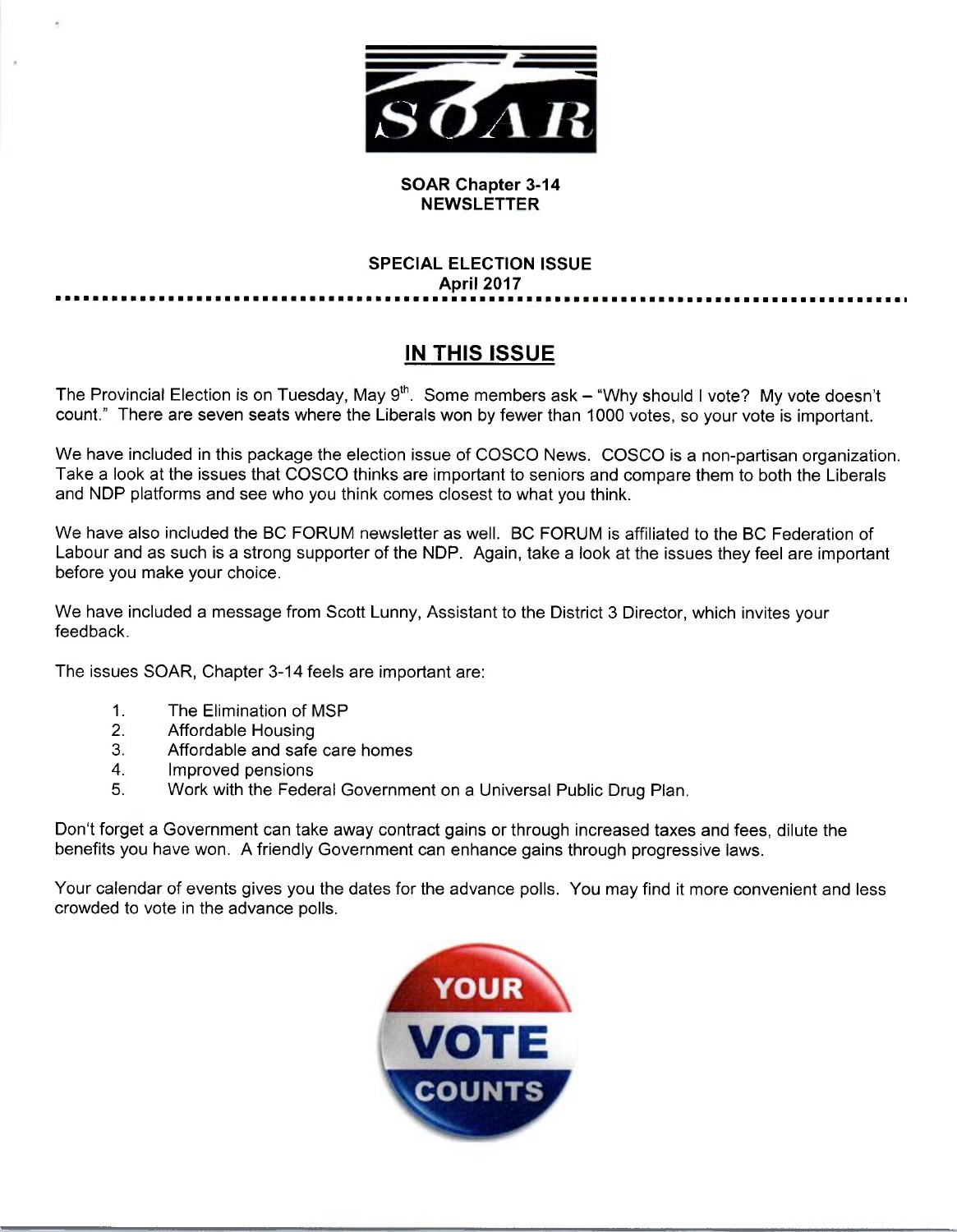

### SOAR Chapter 3-14 **NEWSLETTER**

## SPECIAL ELECTION ISSUE April 2017

# IN THIS ISSUE

The Provincial Election is on Tuesday, May 9<sup>th</sup>. Some members ask – "Why should I vote? My vote doesn't count." There are seven seats where the Liberals won by fewer than 1000 votes, so your vote is important.

We have included in this package the election issue of COSCO News. COSCO is anon-partisan organization. Take a look at the issues that COSCO thinks are important to seniors and compare them to both the Liberals and NDP platforms and see who you think comes closest to what you think.

We have also included the BC FORUM newsletter as well. BC FORUM is affiliated to the BC Federation of Labour and as such is a strong supporter of the NDP. Again, take a look at the issues they feel are important before you make your choice.

We have included a message from Scott Lunny, Assistant to the District 3 Director, which invites your feedback.

The issues SOAR, Chapter 3-14 feels are important are:

- 1. The Elimination of MSP
- 2. Affordable Housing
- 3. Affordable and safe care homes
- 4. Improved pensions
- 5. Work with the Federal Government on a Universal Public Drug Plan.

Don't forget a Government can take away contract gains or through increased taxes and fees, dilute the benefits you have won. A friendly Government can enhance gains through progressive laws.

Your calendar of events gives you the dates for the advance polls. You may find it more convenient and less crowded to vote in the advance polls.

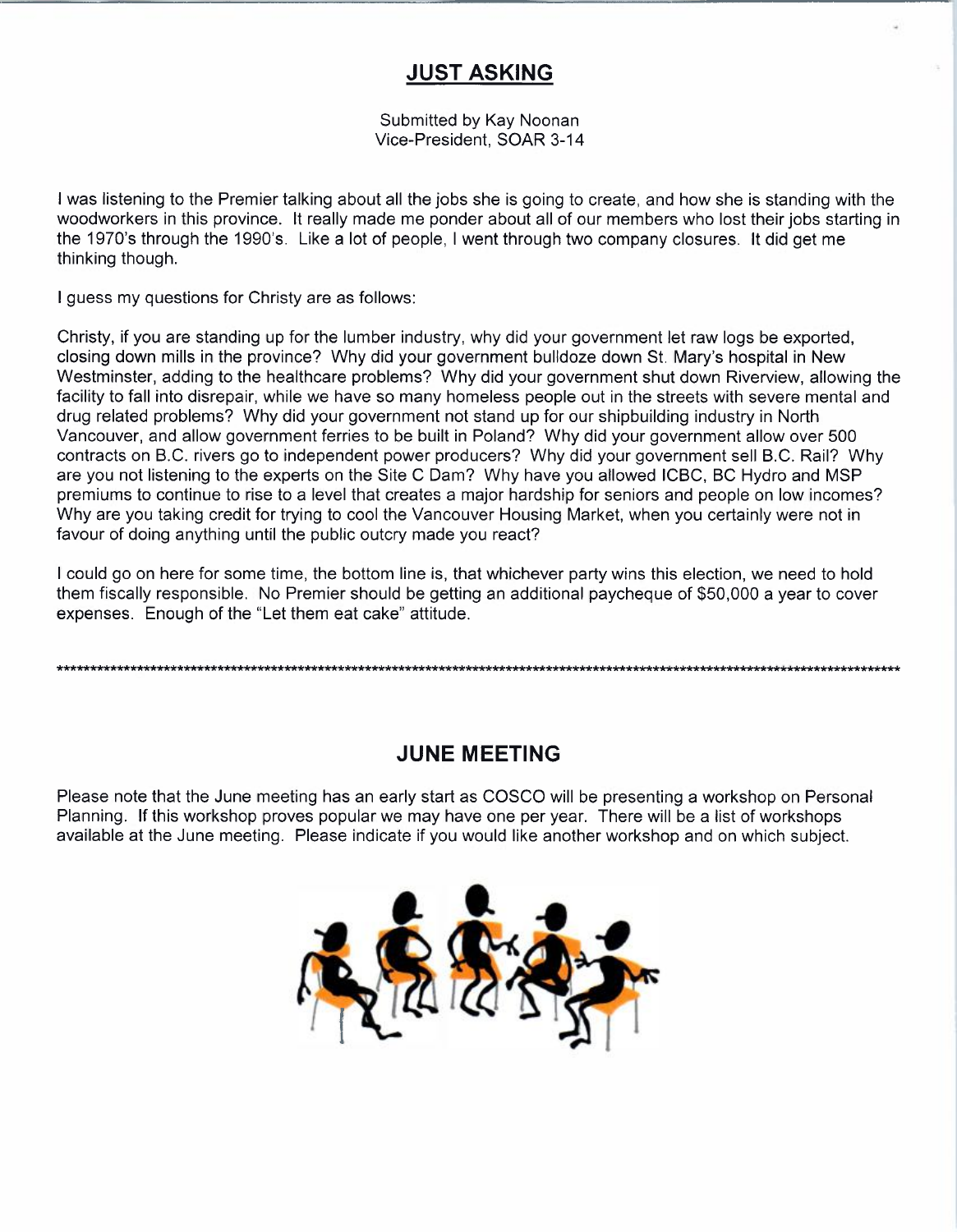## JUST ASKING

Submitted by Kay Noonan Vice-President, SOAR 3-14

I was listening to the Premier talking about all the jobs she is going to create, and how she is standing with the woodworkers in this province. It really made me ponder about all of our members who lost their jobs starting in the 1970's through the 1990's. Like a lot of people, I went through two company closures. It did get me thinking though.

I guess my questions for Christy are as follows:

Christy, if you are standing up for the lumber industry, why did your government let raw logs be exported, closing down mills in the province? Why did your government bulldoze down St. Mary's hospital in New Westminster, adding to the healthcare problems? Why did your government shut down Riverview, allowing the facility to fall into disrepair, while we have so many homeless people out in the streets with severe mental and drug related problems? Why did your government not stand up for our shipbuilding industry in North Vancouver, and allow government ferries to be built in Poland? Why did your government allow over 500 contracts on B.C. rivers go to independent power producers? Why did your government sell B.C. Rail? Why are you not listening to the experts on the Site C Dam? Why have you allowed ICBC, BC Hydro and MSP premiums to continue to rise to a level that creates a major hardship for seniors and people on low incomes? Why are you taking credit for trying to cool the Vancouver Housing Market, when you certainly were not in favour of doing anything until the public outcry made you react?

I could go on here for some time, the bottom line is, that whichever party wins this election, we need to hold them fiscally responsible. No Premier should be getting an additional paycheque of \$50,000 a year to cover expenses. Enough of the "Let them eat cake" attitude.

## JUNE MEETING

Please note that the June meeting has an early start as COSCO will be presenting a workshop on Personal Planning. If this workshop proves popular we may have one per year. There will be a list of workshops available at the June meeting. Please indicate if you would like another workshop and on which subject.